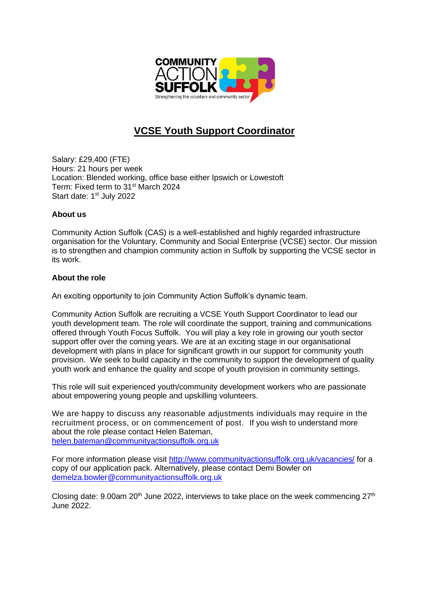

## **VCSE Youth Support Coordinator**

Salary: £29,400 (FTE) Hours: 21 hours per week Location: Blended working, office base either Ipswich or Lowestoft Term: Fixed term to 31<sup>st</sup> March 2024 Start date: 1<sup>st</sup> July 2022

## **About us**

Community Action Suffolk (CAS) is a well-established and highly regarded infrastructure organisation for the Voluntary, Community and Social Enterprise (VCSE) sector. Our mission is to strengthen and champion community action in Suffolk by supporting the VCSE sector in its work.

## **About the role**

An exciting opportunity to join Community Action Suffolk's dynamic team.

Community Action Suffolk are recruiting a VCSE Youth Support Coordinator to lead our youth development team. The role will coordinate the support, training and communications offered through Youth Focus Suffolk. You will play a key role in growing our youth sector support offer over the coming years. We are at an exciting stage in our organisational development with plans in place for significant growth in our support for community youth provision. We seek to build capacity in the community to support the development of quality youth work and enhance the quality and scope of youth provision in community settings.

This role will suit experienced youth/community development workers who are passionate about empowering young people and upskilling volunteers.

We are happy to discuss any reasonable adjustments individuals may require in the recruitment process, or on commencement of post. If you wish to understand more about the role please contact Helen Bateman, [helen.bateman@communityactionsuffolk.org.uk](mailto:helen.bateman@communityactionsuffolk.org.uk)

For more information please visit<http://www.communityactionsuffolk.org.uk/vacancies/> for a copy of our application pack. Alternatively, please contact Demi Bowler on [demelza.bowler@communityactionsuffolk.org.uk](mailto:demelza.bowler@communityactionsuffolk.org.uk)

Closing date: 9.00am  $20<sup>th</sup>$  June 2022, interviews to take place on the week commencing  $27<sup>th</sup>$ June 2022.